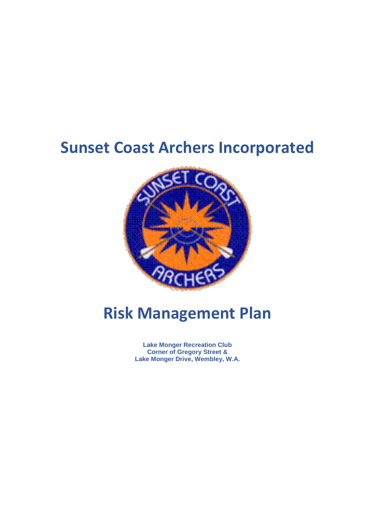# **Sunset Coast Archers Incorporated**



# **Risk Management Plan**

**Lake Monger Recreation Club Corner of Gregory Street & Lake Monger Drive, Wembley, W.A.**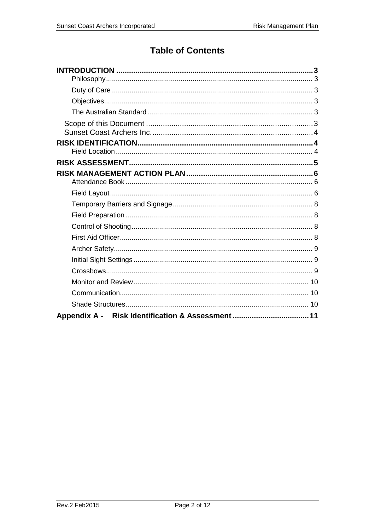# **Table of Contents**

| Appendix A - Risk Identification & Assessment  11 |
|---------------------------------------------------|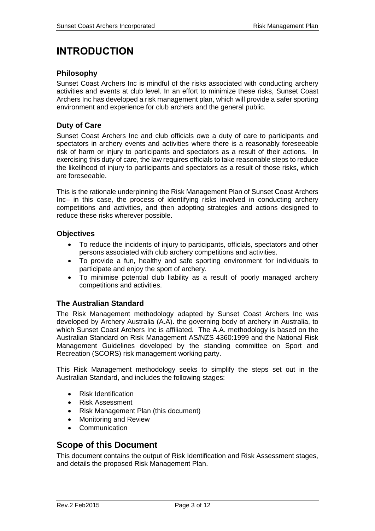# <span id="page-2-0"></span>**INTRODUCTION**

### <span id="page-2-1"></span>**Philosophy**

Sunset Coast Archers Inc is mindful of the risks associated with conducting archery activities and events at club level. In an effort to minimize these risks, Sunset Coast Archers Inc has developed a risk management plan, which will provide a safer sporting environment and experience for club archers and the general public.

## <span id="page-2-2"></span>**Duty of Care**

Sunset Coast Archers Inc and club officials owe a duty of care to participants and spectators in archery events and activities where there is a reasonably foreseeable risk of harm or injury to participants and spectators as a result of their actions. In exercising this duty of care, the law requires officials to take reasonable steps to reduce the likelihood of injury to participants and spectators as a result of those risks, which are foreseeable.

This is the rationale underpinning the Risk Management Plan of Sunset Coast Archers Inc– in this case, the process of identifying risks involved in conducting archery competitions and activities, and then adopting strategies and actions designed to reduce these risks wherever possible.

#### <span id="page-2-3"></span>**Objectives**

- To reduce the incidents of injury to participants, officials, spectators and other persons associated with club archery competitions and activities.
- To provide a fun, healthy and safe sporting environment for individuals to participate and enjoy the sport of archery.
- To minimise potential club liability as a result of poorly managed archery competitions and activities.

## <span id="page-2-4"></span>**The Australian Standard**

The Risk Management methodology adapted by Sunset Coast Archers Inc was developed by Archery Australia (A.A). the governing body of archery in Australia, to which Sunset Coast Archers Inc is affiliated. The A.A. methodology is based on the Australian Standard on Risk Management AS/NZS 4360:1999 and the National Risk Management Guidelines developed by the standing committee on Sport and Recreation (SCORS) risk management working party.

This Risk Management methodology seeks to simplify the steps set out in the Australian Standard, and includes the following stages:

- Risk Identification
- Risk Assessment
- Risk Management Plan (this document)
- Monitoring and Review
- Communication

# <span id="page-2-5"></span>**Scope of this Document**

This document contains the output of Risk Identification and Risk Assessment stages, and details the proposed Risk Management Plan.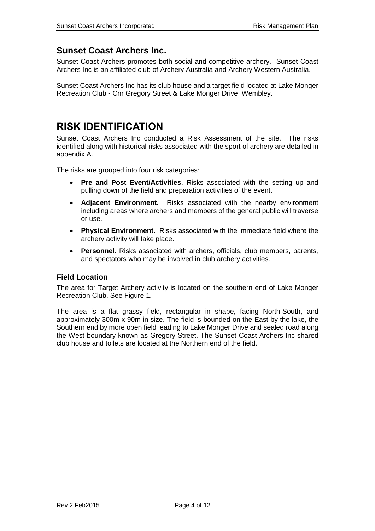# <span id="page-3-0"></span>**Sunset Coast Archers Inc.**

Sunset Coast Archers promotes both social and competitive archery. Sunset Coast Archers Inc is an affiliated club of Archery Australia and Archery Western Australia.

Sunset Coast Archers Inc has its club house and a target field located at Lake Monger Recreation Club - Cnr Gregory Street & Lake Monger Drive, Wembley.

# <span id="page-3-1"></span>**RISK IDENTIFICATION**

Sunset Coast Archers Inc conducted a Risk Assessment of the site. The risks identified along with historical risks associated with the sport of archery are detailed in appendix A.

The risks are grouped into four risk categories:

- **Pre and Post Event/Activities**. Risks associated with the setting up and pulling down of the field and preparation activities of the event.
- **Adjacent Environment.** Risks associated with the nearby environment including areas where archers and members of the general public will traverse or use.
- **Physical Environment.** Risks associated with the immediate field where the archery activity will take place.
- **Personnel.** Risks associated with archers, officials, club members, parents, and spectators who may be involved in club archery activities.

#### <span id="page-3-2"></span>**Field Location**

The area for Target Archery activity is located on the southern end of Lake Monger Recreation Club. See Figure 1.

The area is a flat grassy field, rectangular in shape, facing North-South, and approximately 300m x 90m in size. The field is bounded on the East by the lake, the Southern end by more open field leading to Lake Monger Drive and sealed road along the West boundary known as Gregory Street. The Sunset Coast Archers Inc shared club house and toilets are located at the Northern end of the field.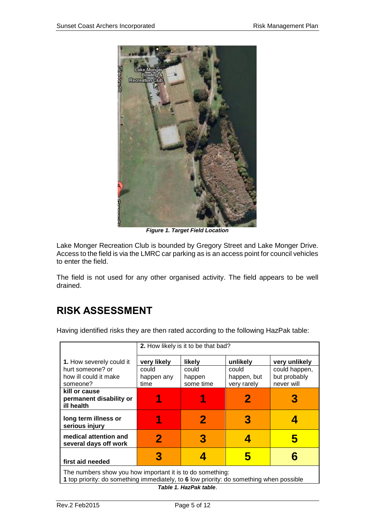

*Figure 1. Target Field Location*

Lake Monger Recreation Club is bounded by Gregory Street and Lake Monger Drive. Access to the field is via the LMRC car parking as is an access point for council vehicles to enter the field.

The field is not used for any other organised activity. The field appears to be well drained.

# <span id="page-4-0"></span>**RISK ASSESSMENT**

Having identified risks they are then rated according to the following HazPak table:

|                                                                                                                                                      | 2. How likely is it to be that bad? |                     |                      |                               |  |
|------------------------------------------------------------------------------------------------------------------------------------------------------|-------------------------------------|---------------------|----------------------|-------------------------------|--|
| <b>1.</b> How severely could it                                                                                                                      | very likely                         | likely              | unlikely             | very unlikely                 |  |
| hurt someone? or<br>how ill could it make                                                                                                            | could                               | could               | could<br>happen, but | could happen,<br>but probably |  |
| someone?                                                                                                                                             | happen any<br>time                  | happen<br>some time | very rarely          | never will                    |  |
| kill or cause<br>permanent disability or<br>ill health                                                                                               |                                     |                     |                      |                               |  |
| long term illness or<br>serious injury                                                                                                               | 1                                   |                     | 3                    |                               |  |
| medical attention and<br>several days off work                                                                                                       | 2                                   |                     |                      |                               |  |
| first aid needed                                                                                                                                     | 3                                   |                     | h                    |                               |  |
| The numbers show you how important it is to do something:<br>1 top priority: do something immediately, to 6 low priority: do something when possible |                                     |                     |                      |                               |  |

*Table 1. HazPak table*.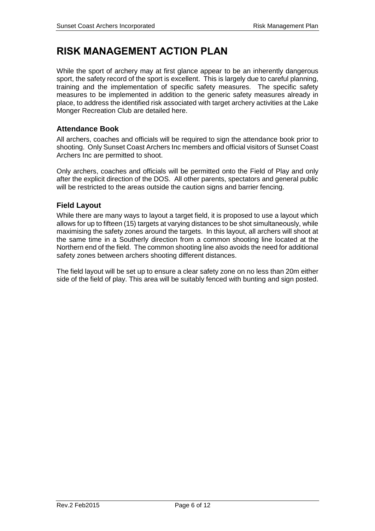# <span id="page-5-0"></span>**RISK MANAGEMENT ACTION PLAN**

While the sport of archery may at first glance appear to be an inherently dangerous sport, the safety record of the sport is excellent. This is largely due to careful planning, training and the implementation of specific safety measures. The specific safety measures to be implemented in addition to the generic safety measures already in place, to address the identified risk associated with target archery activities at the Lake Monger Recreation Club are detailed here.

# <span id="page-5-1"></span>**Attendance Book**

All archers, coaches and officials will be required to sign the attendance book prior to shooting. Only Sunset Coast Archers Inc members and official visitors of Sunset Coast Archers Inc are permitted to shoot.

Only archers, coaches and officials will be permitted onto the Field of Play and only after the explicit direction of the DOS. All other parents, spectators and general public will be restricted to the areas outside the caution signs and barrier fencing.

## <span id="page-5-2"></span>**Field Layout**

While there are many ways to layout a target field, it is proposed to use a layout which allows for up to fifteen (15) targets at varying distances to be shot simultaneously, while maximising the safety zones around the targets. In this layout, all archers will shoot at the same time in a Southerly direction from a common shooting line located at the Northern end of the field. The common shooting line also avoids the need for additional safety zones between archers shooting different distances.

The field layout will be set up to ensure a clear safety zone on no less than 20m either side of the field of play. This area will be suitably fenced with bunting and sign posted.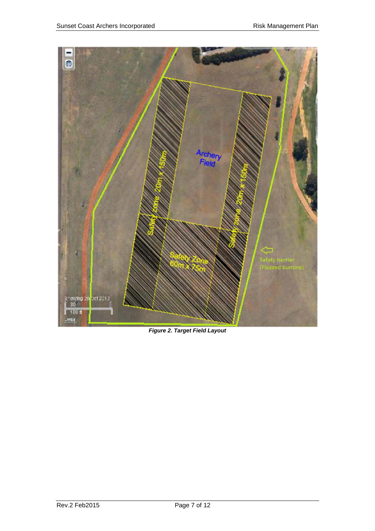

*Figure 2. Target Field Layout*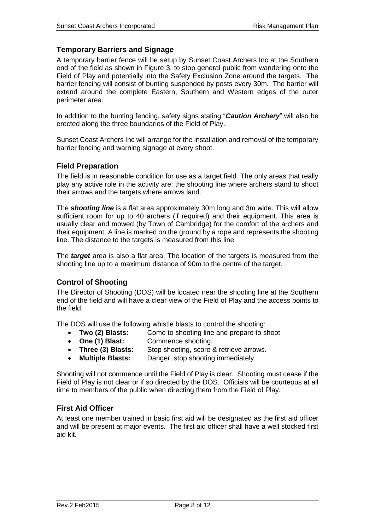### <span id="page-7-0"></span>**Temporary Barriers and Signage**

A temporary barrier fence will be setup by Sunset Coast Archers Inc at the Southern end of the field as shown in Figure 3, to stop general public from wandering onto the Field of Play and potentially into the Safety Exclusion Zone around the targets. The barrier fencing will consist of bunting suspended by posts every 30m. The barrier will extend around the complete Eastern, Southern and Western edges of the outer perimeter area.

In addition to the bunting fencing, safety signs stating "*Caution Archery*" will also be **C** erected along the three boundaries of the Field of Play. **a**

Sunset Coast Archers Inc will arrange for the installation and removal of the temporary **P** barrier fencing and warning signage at every shoot. **r a**

#### <span id="page-7-1"></span>**Field Preparation**

The field is in reasonable condition for use as a target field. The only areas that really play any active role in the activity are: the shooting line where archers stand to shoot their arrows and the targets where arrows land. **m 0 A e a**

The *shooting line* is a flat area approximately 30m long and 3m wide. This will allow sufficient room for up to 40 archers (if required) and their equipment. This area is usually clear and mowed (by Town of Cambridge) for the comfort of the archers and their equipment. A line is marked on the ground by a rope and represents the shooting line. The distance to the targets is measured from this line.

The *target* area is also a flat area. The location of the targets is measured from the shooting line up to a maximum distance of 90m to the centre of the target.

## <span id="page-7-2"></span>**Control of Shooting**

The Director of Shooting (DOS) will be located near the shooting line at the Southern end of the field and will have a clear view of the Field of Play and the access points to the field.

The DOS will use the following whistle blasts to control the shooting:

- **Two (2) Blasts:** Come to shooting line and prepare to shoot
- **One (1) Blast:** Commence shooting.
- **Three (3) Blasts:** Stop shooting, score & retrieve arrows.
- **Multiple Blasts:** Danger, stop shooting immediately.

Shooting will not commence until the Field of Play is clear. Shooting must cease if the Field of Play is not clear or if so directed by the DOS. Officials will be courteous at all time to members of the public when directing them from the Field of Play.

## <span id="page-7-3"></span>**First Aid Officer**

At least one member trained in basic first aid will be designated as the first aid officer and will be present at major events. The first aid officer shall have a well stocked first aid kit.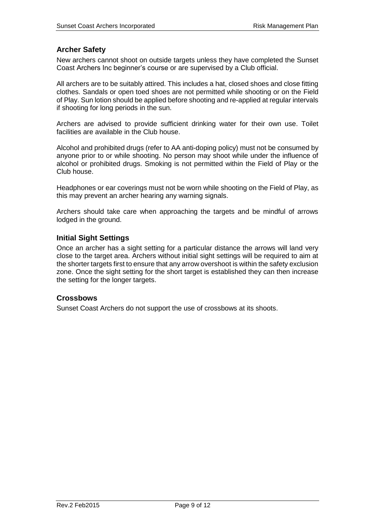# <span id="page-8-0"></span>**Archer Safety**

New archers cannot shoot on outside targets unless they have completed the Sunset Coast Archers Inc beginner's course or are supervised by a Club official.

All archers are to be suitably attired. This includes a hat, closed shoes and close fitting clothes. Sandals or open toed shoes are not permitted while shooting or on the Field of Play. Sun lotion should be applied before shooting and re-applied at regular intervals if shooting for long periods in the sun.

Archers are advised to provide sufficient drinking water for their own use. Toilet facilities are available in the Club house.

Alcohol and prohibited drugs (refer to AA anti-doping policy) must not be consumed by anyone prior to or while shooting. No person may shoot while under the influence of alcohol or prohibited drugs. Smoking is not permitted within the Field of Play or the Club house.

Headphones or ear coverings must not be worn while shooting on the Field of Play, as this may prevent an archer hearing any warning signals.

Archers should take care when approaching the targets and be mindful of arrows lodged in the ground.

#### <span id="page-8-1"></span>**Initial Sight Settings**

Once an archer has a sight setting for a particular distance the arrows will land very close to the target area. Archers without initial sight settings will be required to aim at the shorter targets first to ensure that any arrow overshoot is within the safety exclusion zone. Once the sight setting for the short target is established they can then increase the setting for the longer targets.

#### <span id="page-8-2"></span>**Crossbows**

Sunset Coast Archers do not support the use of crossbows at its shoots.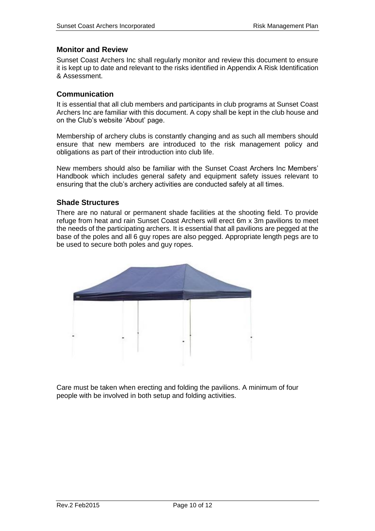### <span id="page-9-0"></span>**Monitor and Review**

Sunset Coast Archers Inc shall regularly monitor and review this document to ensure it is kept up to date and relevant to the risks identified in Appendix A Risk Identification & Assessment.

#### <span id="page-9-1"></span>**Communication**

It is essential that all club members and participants in club programs at Sunset Coast Archers Inc are familiar with this document. A copy shall be kept in the club house and on the Club's website 'About' page.

Membership of archery clubs is constantly changing and as such all members should ensure that new members are introduced to the risk management policy and obligations as part of their introduction into club life.

New members should also be familiar with the Sunset Coast Archers Inc Members' Handbook which includes general safety and equipment safety issues relevant to ensuring that the club's archery activities are conducted safely at all times.

#### <span id="page-9-2"></span>**Shade Structures**

There are no natural or permanent shade facilities at the shooting field. To provide refuge from heat and rain Sunset Coast Archers will erect 6m x 3m pavilions to meet the needs of the participating archers. It is essential that all pavilions are pegged at the base of the poles and all 6 guy ropes are also pegged. Appropriate length pegs are to be used to secure both poles and guy ropes.



Care must be taken when erecting and folding the pavilions. A minimum of four people with be involved in both setup and folding activities.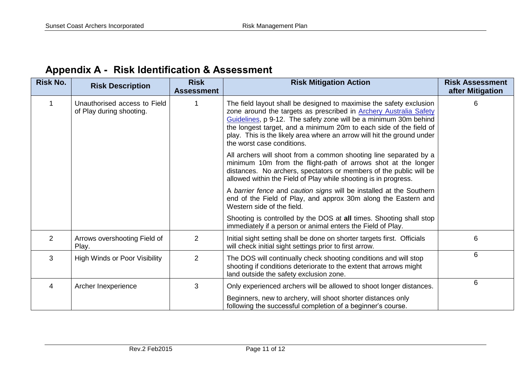|  | <b>Appendix A - Risk Identification &amp; Assessment</b> |
|--|----------------------------------------------------------|
|--|----------------------------------------------------------|

<span id="page-10-0"></span>

| <b>Risk No.</b> | <b>Risk Description</b>                                  | <b>Risk</b><br><b>Assessment</b> | <b>Risk Mitigation Action</b>                                                                                                                                                                                                                                                                                                                                                                     | <b>Risk Assessment</b><br>after Mitigation |
|-----------------|----------------------------------------------------------|----------------------------------|---------------------------------------------------------------------------------------------------------------------------------------------------------------------------------------------------------------------------------------------------------------------------------------------------------------------------------------------------------------------------------------------------|--------------------------------------------|
|                 | Unauthorised access to Field<br>of Play during shooting. |                                  | The field layout shall be designed to maximise the safety exclusion<br>zone around the targets as prescribed in <b>Archery Australia Safety</b><br>Guidelines, p 9-12. The safety zone will be a minimum 30m behind<br>the longest target, and a minimum 20m to each side of the field of<br>play. This is the likely area where an arrow will hit the ground under<br>the worst case conditions. | 6                                          |
|                 |                                                          |                                  | All archers will shoot from a common shooting line separated by a<br>minimum 10m from the flight-path of arrows shot at the longer<br>distances. No archers, spectators or members of the public will be<br>allowed within the Field of Play while shooting is in progress.                                                                                                                       |                                            |
|                 |                                                          |                                  | A barrier fence and caution signs will be installed at the Southern<br>end of the Field of Play, and approx 30m along the Eastern and<br>Western side of the field.                                                                                                                                                                                                                               |                                            |
|                 |                                                          |                                  | Shooting is controlled by the DOS at all times. Shooting shall stop<br>immediately if a person or animal enters the Field of Play.                                                                                                                                                                                                                                                                |                                            |
| 2               | Arrows overshooting Field of<br>Play.                    | $\overline{2}$                   | Initial sight setting shall be done on shorter targets first. Officials<br>will check initial sight settings prior to first arrow.                                                                                                                                                                                                                                                                | 6                                          |
| 3               | <b>High Winds or Poor Visibility</b>                     | 2                                | The DOS will continually check shooting conditions and will stop<br>shooting if conditions deteriorate to the extent that arrows might<br>land outside the safety exclusion zone.                                                                                                                                                                                                                 | 6                                          |
| 4               | Archer Inexperience                                      | 3                                | Only experienced archers will be allowed to shoot longer distances.                                                                                                                                                                                                                                                                                                                               | 6                                          |
|                 |                                                          |                                  | Beginners, new to archery, will shoot shorter distances only<br>following the successful completion of a beginner's course.                                                                                                                                                                                                                                                                       |                                            |